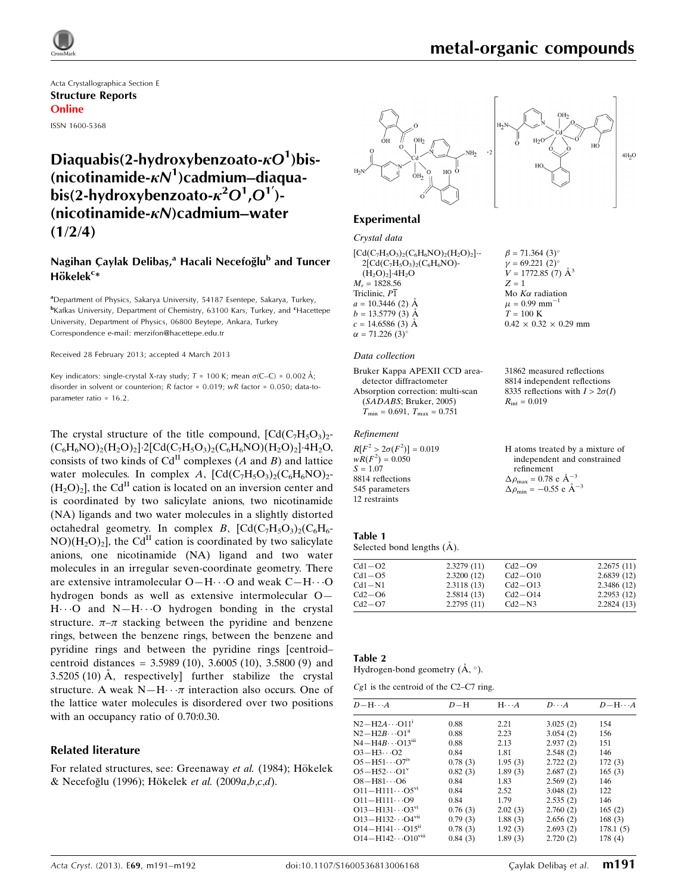

# metal-organic compounds

 $\beta = 71.364$  (3)<sup>o</sup>  $v = 69.221$  (2)<sup>o</sup>  $V = 1772.85$  (7)  $\AA^3$ 

Mo  $K\alpha$  radiation  $\mu$  = 0.99 mm<sup>-1</sup>  $T = 100$  K

 $R_{\rm int} = 0.019$ 

refinement  $\Delta \rho_{\text{max}} = 0.78 \text{ e A}^{-3}$  $\Delta \rho_{\text{min}} = -0.55$  e  $\AA^{-3}$ 

 $0.42 \times 0.32 \times 0.29$  mm

31862 measured reflections 8814 independent reflections 8335 reflections with  $I > 2\sigma(I)$ 

H atoms treated by a mixture of independent and constrained

 $Z = 1$ 

Acta Crystallographica Section E Structure Reports Online ISSN 1600-5368

## Diaquabis(2-hydroxybenzoato- $\kappa O^{1}$ )bis-(nicotinamide- $\kappa N^1$ )cadmium–diaquabis(2-hydroxybenzoato- $\kappa^2 O^1$ , $O^1$ )-(nicotinamide- $\kappa$ N)cadmium–water  $(1/2/4)$

### Nagihan Çaylak Delibaş,<sup>a</sup> Hacali Necefoğlu<sup>b</sup> and Tuncer Hökele $k^{c*}$

<sup>a</sup>Department of Physics, Sakarya University, 54187 Esentepe, Sakarya, Turkey, <sup>b</sup>Kafkas University, Department of Chemistry, 63100 Kars, Turkey, and <sup>c</sup>Hacettepe University, Department of Physics, 06800 Beytepe, Ankara, Turkey Correspondence e-mail: [merzifon@hacettepe.edu.tr](https://scripts.iucr.org/cgi-bin/cr.cgi?rm=pdfbb&cnor=xu5682&bbid=BB11)

Received 28 February 2013; accepted 4 March 2013

Key indicators: single-crystal X-ray study;  $T = 100$  K; mean  $\sigma$ (C–C) = 0.002 Å; disorder in solvent or counterion; R factor = 0.019; wR factor = 0.050; data-toparameter ratio = 16.2.

The crystal structure of the title compound,  $[Cd(C<sub>7</sub>H<sub>5</sub>O<sub>3</sub>)<sub>2</sub>$ - $(C_6H_6NO)_2(H_2O)_2$ ]·2[Cd(C<sub>7</sub>H<sub>5</sub>O<sub>3</sub>)<sub>2</sub>(C<sub>6</sub>H<sub>6</sub>NO)(H<sub>2</sub>O)<sub>2</sub>]·4H<sub>2</sub>O, consists of two kinds of  $Cd<sup>H</sup>$  complexes (A and B) and lattice water molecules. In complex A,  $[\text{Cd}(C_7H_5O_3)_2(C_6H_6NO)_2$ - $(H_2O)_2$ , the Cd<sup>II</sup> cation is located on an inversion center and is coordinated by two salicylate anions, two nicotinamide (NA) ligands and two water molecules in a slightly distorted octahedral geometry. In complex B,  $[Cd(C_7H_5O_3)_2(C_6H_6 NO)(H<sub>2</sub>O)<sub>2</sub>$ , the Cd<sup>II</sup> cation is coordinated by two salicylate anions, one nicotinamide (NA) ligand and two water molecules in an irregular seven-coordinate geometry. There are extensive intramolecular  $O-H \cdots O$  and weak  $C-H \cdots O$ hydrogen bonds as well as extensive intermolecular O— H. O and N-H. O hydrogen bonding in the crystal structure.  $\pi-\pi$  stacking between the pyridine and benzene rings, between the benzene rings, between the benzene and pyridine rings and between the pyridine rings [centroid– centroid distances =  $3.5989(10)$ ,  $3.6005(10)$ ,  $3.5800(9)$  and  $3.5205(10)$  Å, respectively further stabilize the crystal structure. A weak  $N-H \cdots \pi$  interaction also occurs. One of the lattice water molecules is disordered over two positions with an occupancy ratio of 0.70:0.30.

### Related literature

For related structures, see: Greenaway et al. (1984); Hökelek & Necefoğlu (1996); Hökelek et al. (2009a,b,c,d).





### Experimental

### Crystal data

 $[Cd(C<sub>7</sub>H<sub>5</sub>O<sub>3</sub>)<sub>2</sub>(C<sub>6</sub>H<sub>6</sub>NO)<sub>2</sub>(H<sub>2</sub>O)<sub>2</sub>] 2[Cd(C<sub>7</sub>H<sub>5</sub>O<sub>3</sub>)<sub>2</sub>(C<sub>6</sub>H<sub>6</sub>NO)$ - $(H_2O)_2]$ -4 $H_2O$  $M_r = 1828.56$ Triclinic,  $P\overline{1}$  $a = 10.3446$  (2)  $\AA$  $b = 13.5779(3)$  Å  $c = 14.6586(3)$  Å  $\alpha = 71.226$  (3)<sup>o</sup>

#### Data collection

Bruker Kappa APEXII CCD areadetector diffractometer Absorption correction: multi-scan (SADABS; Bruker, 2005)  $T_{\text{min}} = 0.691, T_{\text{max}} = 0.751$ 

### Refinement

| $R[F^2 > 2\sigma(F^2)] = 0.019$ |  |
|---------------------------------|--|
| $wR(F^2) = 0.050$               |  |
| $S = 1.07$                      |  |
| 8814 reflections                |  |
| 545 parameters                  |  |
| 12 restraints                   |  |

| Table 1 |  |  |  |
|---------|--|--|--|

Selected bond lengths (Å).

| $Cd1 - O2$ | 2.3279(11) | $Cd2-O9$  | 2.2675(11) |
|------------|------------|-----------|------------|
| $Cd1 - O5$ | 2.3200(12) | $Cd2-O10$ | 2.6839(12) |
| Cd1-N1     | 2.3118(13) | $Cd2-O13$ | 2.3486(12) |
| $Cd2-06$   | 2.5814(13) | $Cd2-O14$ | 2.2953(12) |
| $Cd2-O7$   | 2.2795(11) | $Cd2-N3$  | 2.2824(13) |

### Table 2

Hydrogen-bond geometry  $(\mathring{A}, \degree)$ .

|  | $Cg1$ is the centroid of the C2–C7 ring. |  |  |  |
|--|------------------------------------------|--|--|--|
|--|------------------------------------------|--|--|--|

| $D-H$   | $H \cdot \cdot \cdot A$ | $D\cdots A$ | $D - H \cdots A$ |
|---------|-------------------------|-------------|------------------|
| 0.88    | 2.21                    | 3.025(2)    | 154              |
| 0.88    | 2.23                    | 3.054(2)    | 156              |
| 0.88    | 2.13                    | 2.937(2)    | 151              |
| 0.84    | 1.81                    | 2.548(2)    | 146              |
| 0.78(3) | 1.95(3)                 | 2.722(2)    | 172(3)           |
| 0.82(3) | 1.89(3)                 | 2.687(2)    | 165(3)           |
| 0.84    | 1.83                    | 2.569(2)    | 146              |
| 0.84    | 2.52                    | 3.048(2)    | 122              |
| 0.84    | 1.79                    | 2.535(2)    | 146              |
| 0.76(3) | 2.02(3)                 | 2.760(2)    | 165(2)           |
| 0.79(3) | 1.88(3)                 | 2.656(2)    | 168(3)           |
| 0.78(3) | 1.92(3)                 | 2.693(2)    | 178.1(5)         |
| 0.84(3) | 1.89(3)                 | 2.720(2)    | 178(4)           |
|         |                         |             |                  |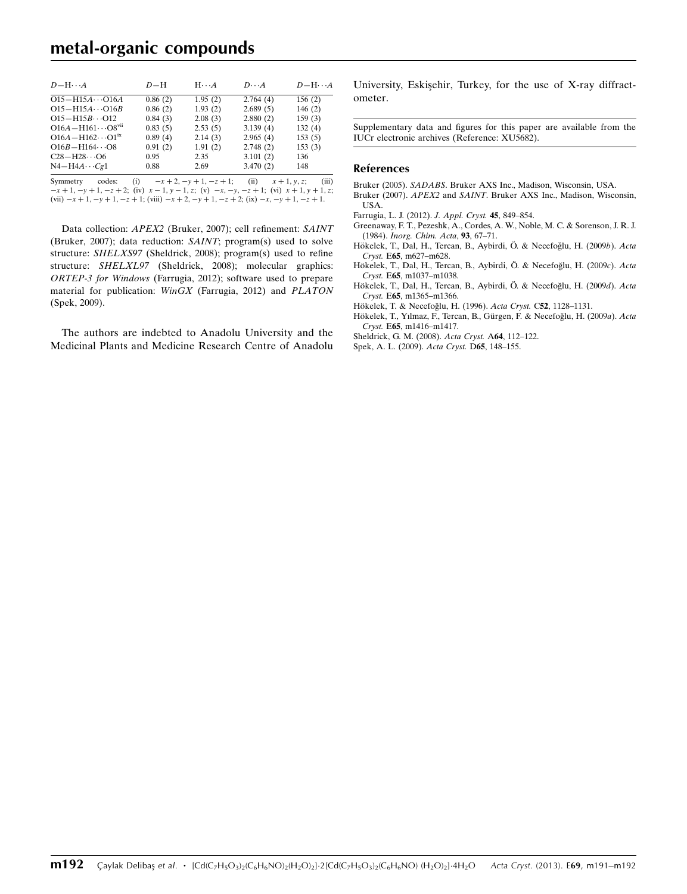## metal-organic compounds

| $D - H \cdots A$                       | $D-H$   | $H \cdots A$ | $D\cdots A$ | $D - H \cdots A$ |
|----------------------------------------|---------|--------------|-------------|------------------|
| $O15 - H15A \cdots O16A$               | 0.86(2) | 1.95(2)      | 2.764(4)    | 156(2)           |
| $O15 - H15A \cdots O16B$               | 0.86(2) | 1.93(2)      | 2.689(5)    | 146(2)           |
| $O15 - H15B \cdots O12$                | 0.84(3) | 2.08(3)      | 2.880(2)    | 159(3)           |
| $O16A - H161 \cdots O8$ <sup>vii</sup> | 0.83(5) | 2.53(5)      | 3.139(4)    | 132(4)           |
| $O16A - H162 \cdots O1^{ix}$           | 0.89(4) | 2.14(3)      | 2.965(4)    | 153(5)           |
| $O16B - H164 \cdots O8$                | 0.91(2) | 1.91(2)      | 2.748(2)    | 153(3)           |
| $C28 - H28 \cdots 06$                  | 0.95    | 2.35         | 3.101(2)    | 136              |
| $N4 - H4A \cdots Cg1$                  | 0.88    | 2.69         | 3.470(2)    | 148              |

Symmetry codes: (i)  $-x + 2, -y + 1, -z + 1$ ; (ii)  $x + 1, y, z$ ; (iii)  $-x+1, -y+1, -z+2$ ; (iv)  $x-1, y-1, z$ ; (v)  $-x, -y, -z+1$ ; (vi)  $x+1, y+1, z$ ; (vii)  $-x + 1$ ,  $-y + 1$ ,  $-z + 1$ ; (viii)  $-x + 2$ ,  $-y + 1$ ,  $-z + 2$ ; (ix)  $-x$ ,  $-y + 1$ ,  $-z + 1$ .

Data collection: APEX2 (Bruker, 2007); cell refinement: SAINT (Bruker, 2007); data reduction: SAINT; program(s) used to solve structure: SHELXS97 (Sheldrick, 2008); program(s) used to refine structure: SHELXL97 (Sheldrick, 2008); molecular graphics: ORTEP-3 for Windows (Farrugia, 2012); software used to prepare material for publication: WinGX (Farrugia, 2012) and PLATON (Spek, 2009).

The authors are indebted to Anadolu University and the Medicinal Plants and Medicine Research Centre of Anadolu University, Eskişehir, Turkey, for the use of X-ray diffractometer.

Supplementary data and figures for this paper are available from the IUCr electronic archives (Reference: XU5682).

#### References

- Bruker (2005). SADABS[. Bruker AXS Inc., Madison, Wisconsin, USA.](https://scripts.iucr.org/cgi-bin/cr.cgi?rm=pdfbb&cnor=xu5682&bbid=BB1)
- Bruker (2007). APEX2 and SAINT[. Bruker AXS Inc., Madison, Wisconsin,](https://scripts.iucr.org/cgi-bin/cr.cgi?rm=pdfbb&cnor=xu5682&bbid=BB2) [USA.](https://scripts.iucr.org/cgi-bin/cr.cgi?rm=pdfbb&cnor=xu5682&bbid=BB2)
- [Farrugia, L. J. \(2012\).](https://scripts.iucr.org/cgi-bin/cr.cgi?rm=pdfbb&cnor=xu5682&bbid=BB3) J. Appl. Cryst. 45, 849–854.
- [Greenaway, F. T., Pezeshk, A., Cordes, A. W., Noble, M. C. & Sorenson, J. R. J.](https://scripts.iucr.org/cgi-bin/cr.cgi?rm=pdfbb&cnor=xu5682&bbid=BB4) (1984). [Inorg. Chim. Acta](https://scripts.iucr.org/cgi-bin/cr.cgi?rm=pdfbb&cnor=xu5682&bbid=BB4), 93, 67–71.
- Hökelek, T., Dal, H., Tercan, B., Aybirdi, Ö. & Necefoğlu, H. (2009b). Acta Cryst. E65[, m627–m628.](https://scripts.iucr.org/cgi-bin/cr.cgi?rm=pdfbb&cnor=xu5682&bbid=BB5)
- Hökelek, T., Dal, H., Tercan, B., Aybirdi, Ö. & Necefoğlu, H. (2009c). Acta Cryst. E65[, m1037–m1038.](https://scripts.iucr.org/cgi-bin/cr.cgi?rm=pdfbb&cnor=xu5682&bbid=BB6)
- Hökelek, T., Dal, H., Tercan, B., Aybirdi, Ö. & Necefoğlu, H. (2009d). Acta Cryst. E65[, m1365–m1366.](https://scripts.iucr.org/cgi-bin/cr.cgi?rm=pdfbb&cnor=xu5682&bbid=BB7)
- Hökelek, T. & Necefoğlu, H. (1996). Acta Cryst. C52, 1128-1131.
- Hökelek, T., Yılmaz, F., Tercan, B., Gürgen, F. & Necefoğlu, H. (2009a). Acta Cryst. E65[, m1416–m1417.](https://scripts.iucr.org/cgi-bin/cr.cgi?rm=pdfbb&cnor=xu5682&bbid=BB9)
- [Sheldrick, G. M. \(2008\).](https://scripts.iucr.org/cgi-bin/cr.cgi?rm=pdfbb&cnor=xu5682&bbid=BB10) Acta Cryst. A64, 112–122.
- [Spek, A. L. \(2009\).](https://scripts.iucr.org/cgi-bin/cr.cgi?rm=pdfbb&cnor=xu5682&bbid=BB11) Acta Cryst. D65, 148–155.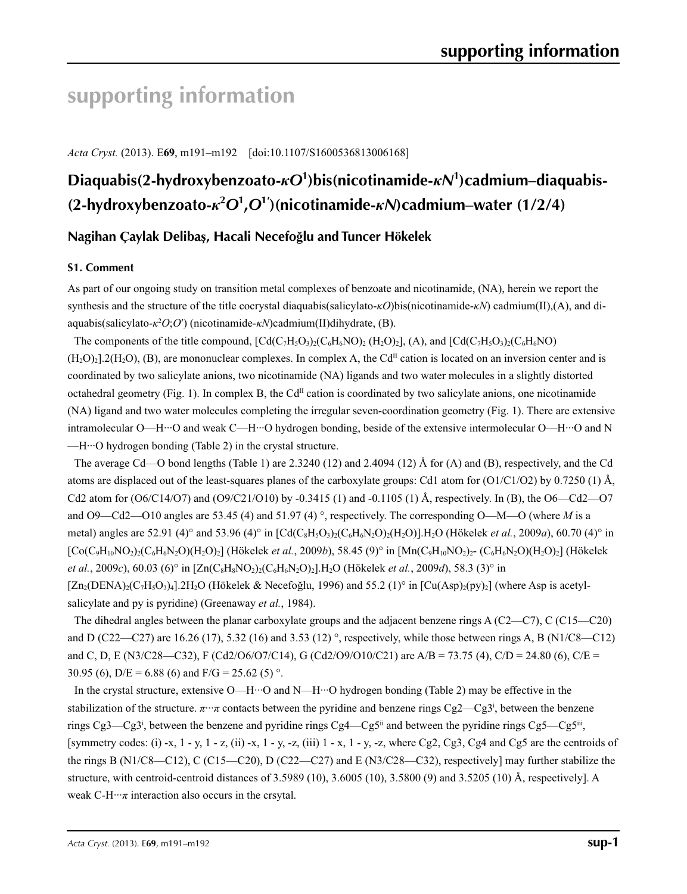# **supporting information**

*Acta Cryst.* (2013). E**69**, m191–m192 [doi:10.1107/S1600536813006168]

# **Diaquabis(2-hydroxybenzoato-***κO***<sup>1</sup> )bis(nicotinamide-***κN***<sup>1</sup> )cadmium–diaquabis- (2-hydroxybenzoato-***κ***<sup>2</sup>** *O***<sup>1</sup> ,***O***<sup>1</sup>′ )(nicotinamide-***κN***)cadmium–water (1/2/4)**

### **Nagihan Çaylak Delibaş, Hacali Necefoğlu and Tuncer Hökelek**

### **S1. Comment**

As part of our ongoing study on transition metal complexes of benzoate and nicotinamide, (NA), herein we report the synthesis and the structure of the title cocrystal diaquabis(salicylato-*κO*)bis(nicotinamide-*κN*) cadmium(II),(A), and diaquabis(salicylato-*κ*<sup>2</sup> *O*;*O*′) (nicotinamide-*κN*)cadmium(II)dihydrate, (B).

The components of the title compound,  $\left[\text{Cd}(C_7H_5O_3)_2(C_6H_6NO)\right]$  (H<sub>2</sub>O)<sub>2</sub>], (A), and  $\left[\text{Cd}(C_7H_5O_3)_2(C_6H_6NO)\right]$  $(H<sub>2</sub>O)<sub>2</sub>$ ].2(H<sub>2</sub>O), (B), are mononuclear complexes. In complex A, the Cd<sup>II</sup> cation is located on an inversion center and is coordinated by two salicylate anions, two nicotinamide (NA) ligands and two water molecules in a slightly distorted octahedral geometry (Fig. 1). In complex B, the  $Cd<sup>II</sup>$  cation is coordinated by two salicylate anions, one nicotinamide (NA) ligand and two water molecules completing the irregular seven-coordination geometry (Fig. 1). There are extensive intramolecular O—H···O and weak C—H···O hydrogen bonding, beside of the extensive intermolecular O—H···O and N  $-H \cdots$ O hydrogen bonding (Table 2) in the crystal structure.

The average Cd—O bond lengths (Table 1) are 2.3240 (12) and 2.4094 (12) Å for (A) and (B), respectively, and the Cd atoms are displaced out of the least-squares planes of the carboxylate groups: Cd1 atom for (O1/C1/O2) by 0.7250 (1) Å, Cd2 atom for  $(06/C14/O7)$  and  $(09/C21/O10)$  by  $-0.3415$  (1) and  $-0.1105$  (1) Å, respectively. In (B), the  $06-Cd2$ —O7 and O9—Cd2—O10 angles are 53.45 (4) and 51.97 (4) °, respectively. The corresponding O—M—O (where *M* is a metal) angles are 52.91 (4)° and 53.96 (4)° in  $\left[\text{Cd}(C_8H_5O_3)_2(C_6H_6N_2O)_2(H_2O)\right]$ .H<sub>2</sub>O (Hökelek *et al.*, 2009*a*), 60.70 (4)° in  $[Co(C_9H_{10}NO_2)_{2}(C_6H_6N_2O)(H_2O)_2]$  (Hökelek *et al.*, 2009*b*), 58.45 (9)° in  $[Mn(C_9H_{10}NO_2)_{2}$ - (C<sub>6</sub>H<sub>6</sub>N<sub>2</sub>O)(H<sub>2</sub>O)<sub>2</sub>] (Hökelek *et al.*, 2009*c*), 60.03 (6)° in  $[\text{Zn}(C_8H_8NO_2)_{2}(C_6H_6N_2O)_{2}]$ .H<sub>2</sub>O (Hökelek *et al.*, 2009*d*), 58.3 (3)° in  $[Zn_2(DENA)_2(C_7H_5O_3)_4]$ .2H<sub>2</sub>O (Hökelek & Necefoğlu, 1996) and 55.2 (1)° in  $[Cu(Asp)_2(py)_2]$  (where Asp is acetylsalicylate and py is pyridine) (Greenaway *et al.*, 1984).

The dihedral angles between the planar carboxylate groups and the adjacent benzene rings A (C2—C7), C (C15—C20) and D (C22—C27) are 16.26 (17), 5.32 (16) and 3.53 (12)  $^{\circ}$ , respectively, while those between rings A, B (N1/C8—C12) and C, D, E (N3/C28—C32), F (Cd2/O6/O7/C14), G (Cd2/O9/O10/C21) are A/B = 73.75 (4), C/D = 24.80 (6), C/E = 30.95 (6),  $D/E = 6.88$  (6) and  $F/G = 25.62$  (5) °.

In the crystal structure, extensive O—H···O and N—H···O hydrogen bonding (Table 2) may be effective in the stabilization of the structure.  $\pi \cdot \pi$  contacts between the pyridine and benzene rings Cg2—Cg3<sup>i</sup>, between the benzene rings Cg3—Cg3<sup>i</sup>, between the benzene and pyridine rings Cg4—Cg5<sup>ii</sup> and between the pyridine rings Cg5—Cg5<sup>ii</sup>, [symmetry codes: (i) -x, 1 - y, 1 - z, (ii) -x, 1 - y, -z, (iii) 1 - x, 1 - y, -z, where Cg2, Cg3, Cg4 and Cg5 are the centroids of the rings B (N1/C8—C12), C (C15—C20), D (C22—C27) and E (N3/C28—C32), respectively] may further stabilize the structure, with centroid-centroid distances of 3.5989 (10), 3.6005 (10), 3.5800 (9) and 3.5205 (10) Å, respectively]. A weak  $C-H\cdots\pi$  interaction also occurs in the crsytal.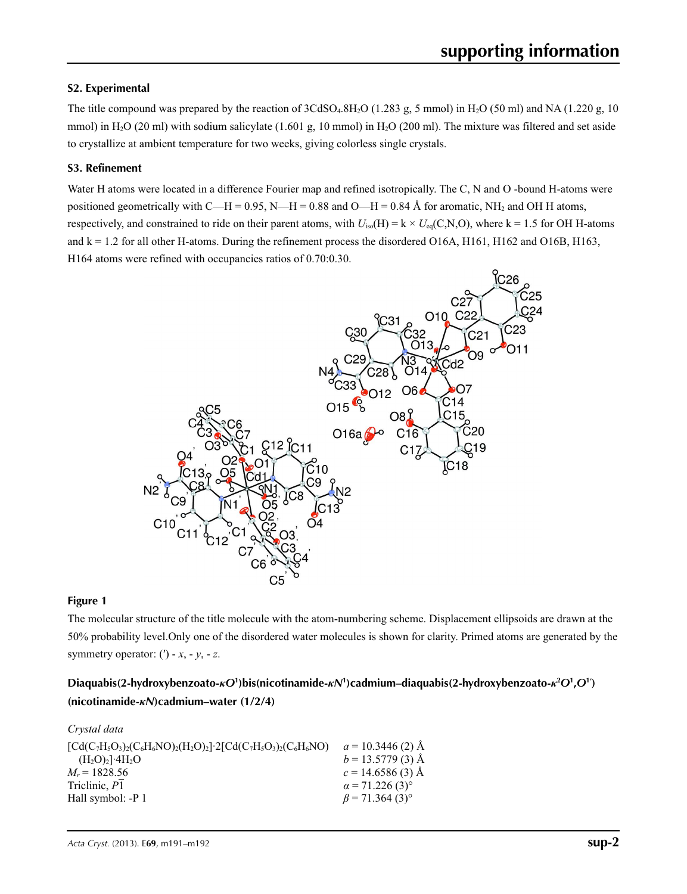### **S2. Experimental**

The title compound was prepared by the reaction of  $3C dSO<sub>4</sub>.8H<sub>2</sub>O$  (1.283 g, 5 mmol) in H<sub>2</sub>O (50 ml) and NA (1.220 g, 10 mmol) in H<sub>2</sub>O (20 ml) with sodium salicylate (1.601 g, 10 mmol) in H<sub>2</sub>O (200 ml). The mixture was filtered and set aside to crystallize at ambient temperature for two weeks, giving colorless single crystals.

### **S3. Refinement**

Water H atoms were located in a difference Fourier map and refined isotropically. The C, N and O -bound H-atoms were positioned geometrically with C—H = 0.95, N—H = 0.88 and O—H = 0.84 Å for aromatic, NH<sub>2</sub> and OH H atoms, respectively, and constrained to ride on their parent atoms, with  $U_{iso}(H) = k \times U_{eq}(C, N, O)$ , where  $k = 1.5$  for OH H-atoms and  $k = 1.2$  for all other H-atoms. During the refinement process the disordered O16A, H161, H162 and O16B, H163, H164 atoms were refined with occupancies ratios of 0.70:0.30.



### **Figure 1**

The molecular structure of the title molecule with the atom-numbering scheme. Displacement ellipsoids are drawn at the 50% probability level.Only one of the disordered water molecules is shown for clarity. Primed atoms are generated by the symmetry operator:  $(') - x, -y, -z$ .

### Diaquabis(2-hydroxybenzoato- $\kappa O^1$ )bis(nicotinamide- $\kappa N^1$ )cadmium-diaquabis(2-hydroxybenzoato- $\kappa^2 O^1$ , $O^1$ ) **(nicotinamide-***κN***)cadmium–water (1/2/4)**

| $a = 10.3446(2)$ Å                 |
|------------------------------------|
| $b = 13.5779(3)$ Å                 |
| $c = 14.6586(3)$ Å                 |
| $\alpha$ = 71.226 (3) <sup>o</sup> |
| $\beta$ = 71.364 (3) <sup>o</sup>  |
|                                    |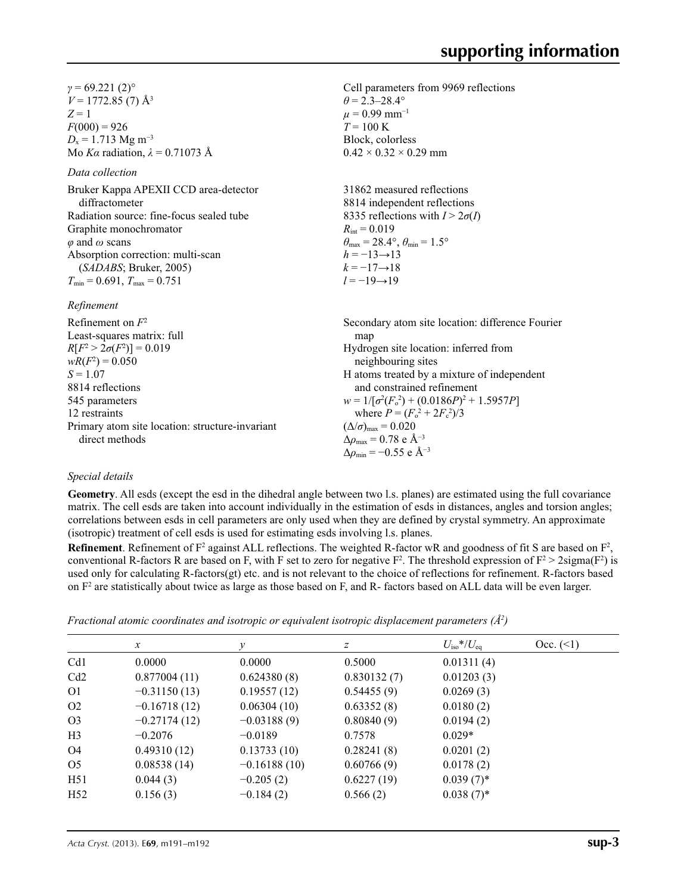$γ = 69.221(2)°$  $V = 1772.85(7)$  Å<sup>3</sup> *Z* = 1  $F(000) = 926$  $D_x = 1.713$  Mg m<sup>-3</sup> Mo *Kα* radiation, *λ* = 0.71073 Å

### *Data collection*

Bruker Kappa APEXII CCD area-detector diffractometer Radiation source: fine-focus sealed tube Graphite monochromator *φ* and *ω* scans Absorption correction: multi-scan (*SADABS*; Bruker, 2005)  $T_{\text{min}} = 0.691, T_{\text{max}} = 0.751$ 

*Refinement*

Cell parameters from 9969 reflections  $\theta$  = 2.3–28.4°  $\mu$  = 0.99 mm<sup>-1</sup>  $T = 100 \text{ K}$ Block, colorless

31862 measured reflections 8814 independent reflections 8335 reflections with  $I > 2\sigma(I)$  $R_{\text{int}} = 0.019$  $\theta_{\text{max}} = 28.4^{\circ}, \theta_{\text{min}} = 1.5^{\circ}$  $h = -13 \rightarrow 13$  $k = -17 \rightarrow 18$ *l* = −19→19

 $0.42 \times 0.32 \times 0.29$  mm

| Refinement on $F^2$                             | Secondary atom site location: difference Fourier   |
|-------------------------------------------------|----------------------------------------------------|
| Least-squares matrix: full                      | map                                                |
| $R[F^2 > 2\sigma(F^2)] = 0.019$                 | Hydrogen site location: inferred from              |
| $wR(F^2) = 0.050$                               | neighbouring sites                                 |
| $S = 1.07$                                      | H atoms treated by a mixture of independent        |
| 8814 reflections                                | and constrained refinement                         |
| 545 parameters                                  | $w = 1/[\sigma^2(F_0^2) + (0.0186P)^2 + 1.5957P]$  |
| 12 restraints                                   | where $P = (F_o^2 + 2F_c^2)/3$                     |
| Primary atom site location: structure-invariant | $(\Delta/\sigma)_{\text{max}} = 0.020$             |
| direct methods                                  | $\Delta \rho_{\text{max}} = 0.78 \text{ e A}^{-3}$ |
|                                                 | $\Delta\rho_{\rm min} = -0.55$ e Å <sup>-3</sup>   |

### *Special details*

**Geometry**. All esds (except the esd in the dihedral angle between two l.s. planes) are estimated using the full covariance matrix. The cell esds are taken into account individually in the estimation of esds in distances, angles and torsion angles; correlations between esds in cell parameters are only used when they are defined by crystal symmetry. An approximate (isotropic) treatment of cell esds is used for estimating esds involving l.s. planes.

**Refinement**. Refinement of  $F^2$  against ALL reflections. The weighted R-factor wR and goodness of fit S are based on  $F^2$ , conventional R-factors R are based on F, with F set to zero for negative  $F^2$ . The threshold expression of  $F^2 > 2 \text{sigma}(F^2)$  is used only for calculating R-factors(gt) etc. and is not relevant to the choice of reflections for refinement. R-factors based on  $F<sup>2</sup>$  are statistically about twice as large as those based on F, and R- factors based on ALL data will be even larger.

|  | Fractional atomic coordinates and isotropic or equivalent isotropic displacement parameters ( $\AA^2$ ) |  |  |  |  |  |
|--|---------------------------------------------------------------------------------------------------------|--|--|--|--|--|
|  |                                                                                                         |  |  |  |  |  |

|                 | $\mathcal{X}$  |                | Ζ           | $U_{\rm iso}*/U_{\rm eq}$ | Occ. (2) |
|-----------------|----------------|----------------|-------------|---------------------------|----------|
| Cd <sub>1</sub> | 0.0000         | 0.0000         | 0.5000      | 0.01311(4)                |          |
| Cd2             | 0.877004(11)   | 0.624380(8)    | 0.830132(7) | 0.01203(3)                |          |
| O1              | $-0.31150(13)$ | 0.19557(12)    | 0.54455(9)  | 0.0269(3)                 |          |
| O <sub>2</sub>  | $-0.16718(12)$ | 0.06304(10)    | 0.63352(8)  | 0.0180(2)                 |          |
| O <sub>3</sub>  | $-0.27174(12)$ | $-0.03188(9)$  | 0.80840(9)  | 0.0194(2)                 |          |
| H <sub>3</sub>  | $-0.2076$      | $-0.0189$      | 0.7578      | $0.029*$                  |          |
| O4              | 0.49310(12)    | 0.13733(10)    | 0.28241(8)  | 0.0201(2)                 |          |
| O <sub>5</sub>  | 0.08538(14)    | $-0.16188(10)$ | 0.60766(9)  | 0.0178(2)                 |          |
| H51             | 0.044(3)       | $-0.205(2)$    | 0.6227(19)  | $0.039(7)$ *              |          |
| H <sub>52</sub> | 0.156(3)       | $-0.184(2)$    | 0.566(2)    | $0.038(7)$ *              |          |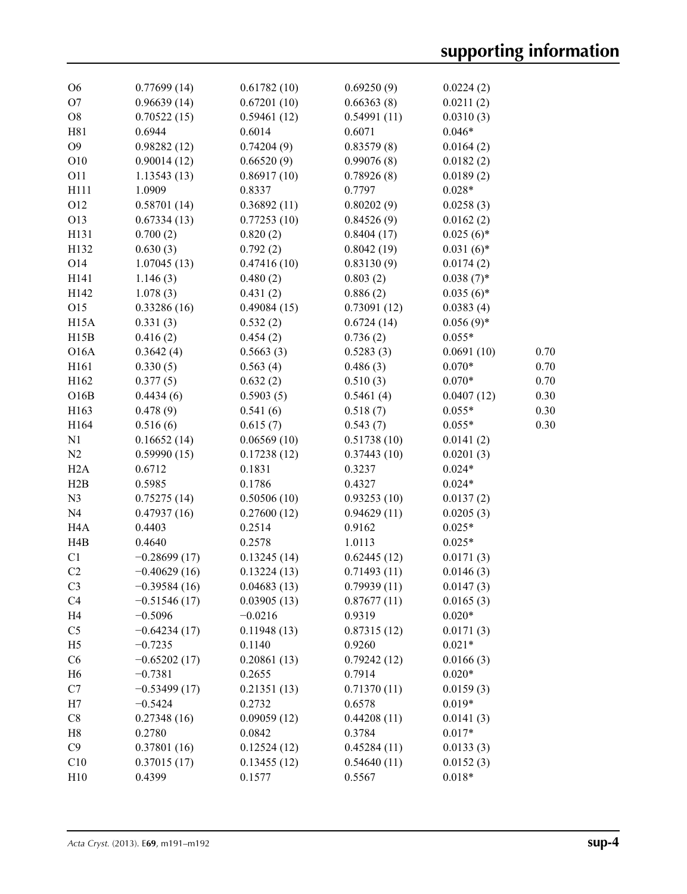| O <sub>6</sub>                   | 0.77699(14)                      | 0.61782(10)           | 0.69250(9)            | 0.0224(2)             |      |
|----------------------------------|----------------------------------|-----------------------|-----------------------|-----------------------|------|
| O <sub>7</sub>                   | 0.96639(14)                      | 0.67201(10)           | 0.66363(8)            | 0.0211(2)             |      |
| O <sub>8</sub>                   | 0.70522(15)                      | 0.59461(12)           | 0.54991(11)           | 0.0310(3)             |      |
| H81                              | 0.6944                           | 0.6014                | 0.6071                | $0.046*$              |      |
| O <sub>9</sub>                   | 0.98282(12)                      | 0.74204(9)            | 0.83579(8)            | 0.0164(2)             |      |
| O10                              | 0.90014(12)                      | 0.66520(9)            | 0.99076(8)            | 0.0182(2)             |      |
| <b>O11</b>                       | 1.13543(13)                      | 0.86917(10)           | 0.78926(8)            | 0.0189(2)             |      |
| H111                             | 1.0909                           | 0.8337                | 0.7797                | $0.028*$              |      |
| O12                              | 0.58701(14)                      | 0.36892(11)           | 0.80202(9)            | 0.0258(3)             |      |
| O13                              | 0.67334(13)                      | 0.77253(10)           | 0.84526(9)            | 0.0162(2)             |      |
| H131                             | 0.700(2)                         | 0.820(2)              | 0.8404(17)            | $0.025(6)$ *          |      |
| H132                             | 0.630(3)                         | 0.792(2)              | 0.8042(19)            | $0.031(6)$ *          |      |
| O14                              | 1.07045(13)                      | 0.47416(10)           | 0.83130(9)            | 0.0174(2)             |      |
| H141                             | 1.146(3)                         | 0.480(2)              | 0.803(2)              | $0.038(7)$ *          |      |
| H142                             | 1.078(3)                         | 0.431(2)              | 0.886(2)              | $0.035(6)$ *          |      |
| O15                              | 0.33286(16)                      | 0.49084(15)           | 0.73091(12)           | 0.0383(4)             |      |
| H <sub>15</sub> A                | 0.331(3)                         | 0.532(2)              | 0.6724(14)            | $0.056(9)*$           |      |
| H15B                             | 0.416(2)                         | 0.454(2)              | 0.736(2)              | $0.055*$              |      |
| <b>O16A</b>                      | 0.3642(4)                        | 0.5663(3)             | 0.5283(3)             | 0.0691(10)            | 0.70 |
| H161                             | 0.330(5)                         | 0.563(4)              | 0.486(3)              | $0.070*$              | 0.70 |
| H162                             | 0.377(5)                         | 0.632(2)              | 0.510(3)              | $0.070*$              | 0.70 |
| O16B                             | 0.4434(6)                        | 0.5903(5)             | 0.5461(4)             | 0.0407(12)            | 0.30 |
| H163                             | 0.478(9)                         | 0.541(6)              | 0.518(7)              | $0.055*$              | 0.30 |
| H164                             | 0.516(6)                         | 0.615(7)              | 0.543(7)              | $0.055*$              | 0.30 |
| N1                               | 0.16652(14)                      | 0.06569(10)           | 0.51738(10)           | 0.0141(2)             |      |
| N2                               | 0.59990(15)                      | 0.17238(12)           | 0.37443(10)           | 0.0201(3)             |      |
| H2A                              | 0.6712                           | 0.1831                | 0.3237                | $0.024*$              |      |
| H2B                              | 0.5985                           | 0.1786                | 0.4327                | $0.024*$              |      |
| N <sub>3</sub>                   | 0.75275(14)                      | 0.50506(10)           | 0.93253(10)           | 0.0137(2)             |      |
| N <sub>4</sub>                   | 0.47937(16)                      | 0.27600(12)           | 0.94629(11)           | 0.0205(3)             |      |
| H <sub>4</sub> A                 | 0.4403                           | 0.2514                | 0.9162                | $0.025*$              |      |
| H4B                              | 0.4640                           | 0.2578                | 1.0113                | $0.025*$              |      |
| C1                               | $-0.28699(17)$                   | 0.13245(14)           | 0.62445(12)           | 0.0171(3)             |      |
| C <sub>2</sub>                   | $-0.40629(16)$                   | 0.13224(13)           | 0.71493(11)           | 0.0146(3)             |      |
|                                  |                                  |                       |                       |                       |      |
| C <sub>3</sub><br>C <sub>4</sub> | $-0.39584(16)$<br>$-0.51546(17)$ | 0.04683(13)           | 0.79939(11)           | 0.0147(3)             |      |
| H <sub>4</sub>                   |                                  | 0.03905(13)           | 0.87677(11)<br>0.9319 | 0.0165(3)<br>$0.020*$ |      |
|                                  | $-0.5096$                        | $-0.0216$             |                       |                       |      |
| C <sub>5</sub>                   | $-0.64234(17)$                   | 0.11948(13)<br>0.1140 | 0.87315(12)           | 0.0171(3)             |      |
| H <sub>5</sub>                   | $-0.7235$                        |                       | 0.9260                | $0.021*$              |      |
| C6                               | $-0.65202(17)$                   | 0.20861(13)           | 0.79242(12)           | 0.0166(3)<br>$0.020*$ |      |
| H <sub>6</sub>                   | $-0.7381$                        | 0.2655                | 0.7914                |                       |      |
| C7                               | $-0.53499(17)$                   | 0.21351(13)           | 0.71370(11)           | 0.0159(3)             |      |
| H7                               | $-0.5424$                        | 0.2732                | 0.6578                | $0.019*$              |      |
| C8                               | 0.27348(16)                      | 0.09059(12)           | 0.44208(11)           | 0.0141(3)             |      |
| H <sub>8</sub>                   | 0.2780                           | 0.0842                | 0.3784                | $0.017*$              |      |
| C9                               | 0.37801(16)                      | 0.12524(12)           | 0.45284(11)           | 0.0133(3)             |      |
| C10                              | 0.37015(17)                      | 0.13455(12)           | 0.54640(11)           | 0.0152(3)             |      |
| H10                              | 0.4399                           | 0.1577                | 0.5567                | $0.018*$              |      |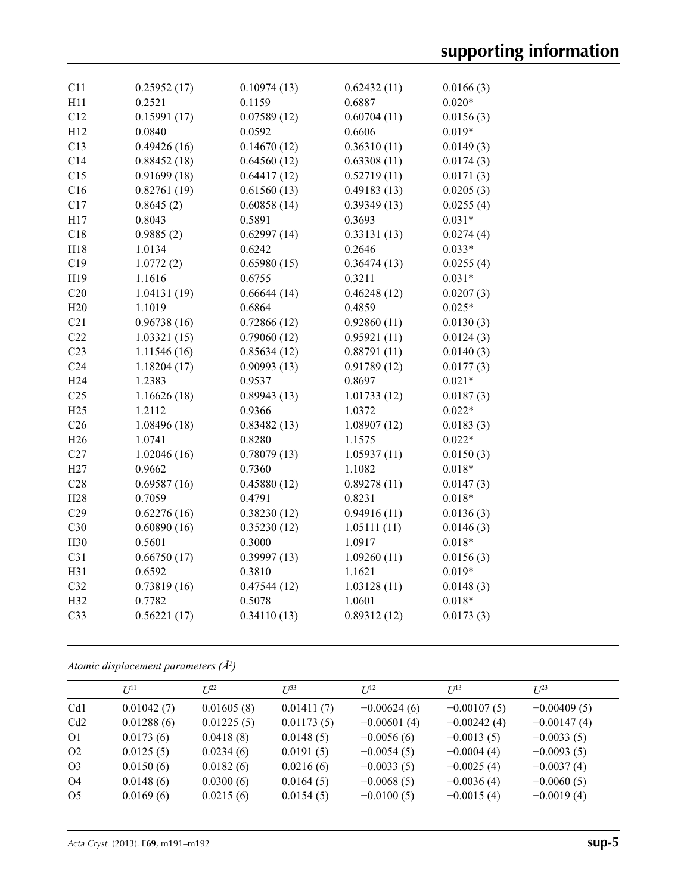| C11             | 0.25952(17)  | 0.10974(13) | 0.62432(11) | 0.0166(3) |
|-----------------|--------------|-------------|-------------|-----------|
| H11             | 0.2521       | 0.1159      | 0.6887      | $0.020*$  |
| C12             | 0.15991(17)  | 0.07589(12) | 0.60704(11) | 0.0156(3) |
| H12             | 0.0840       | 0.0592      | 0.6606      | $0.019*$  |
| C13             | 0.49426(16)  | 0.14670(12) | 0.36310(11) | 0.0149(3) |
| C14             | 0.88452(18)  | 0.64560(12) | 0.63308(11) | 0.0174(3) |
| C15             | 0.91699(18)  | 0.64417(12) | 0.52719(11) | 0.0171(3) |
| C16             | 0.82761(19)  | 0.61560(13) | 0.49183(13) | 0.0205(3) |
| C17             | 0.8645(2)    | 0.60858(14) | 0.39349(13) | 0.0255(4) |
| H17             | 0.8043       | 0.5891      | 0.3693      | $0.031*$  |
| C18             | 0.9885(2)    | 0.62997(14) | 0.33131(13) | 0.0274(4) |
| H18             | 1.0134       | 0.6242      | 0.2646      | $0.033*$  |
| C19             | 1.0772(2)    | 0.65980(15) | 0.36474(13) | 0.0255(4) |
| H19             | 1.1616       | 0.6755      | 0.3211      | $0.031*$  |
| C20             | 1.04131(19)  | 0.66644(14) | 0.46248(12) | 0.0207(3) |
| H20             | 1.1019       | 0.6864      | 0.4859      | $0.025*$  |
| C21             | 0.96738(16)  | 0.72866(12) | 0.92860(11) | 0.0130(3) |
| C22             | 1.03321(15)  | 0.79060(12) | 0.95921(11) | 0.0124(3) |
| C <sub>23</sub> | 1.11546 (16) | 0.85634(12) | 0.88791(11) | 0.0140(3) |
| C <sub>24</sub> | 1.18204(17)  | 0.90993(13) | 0.91789(12) | 0.0177(3) |
| H <sub>24</sub> | 1.2383       | 0.9537      | 0.8697      | $0.021*$  |
| C <sub>25</sub> | 1.16626(18)  | 0.89943(13) | 1.01733(12) | 0.0187(3) |
| H <sub>25</sub> | 1.2112       | 0.9366      | 1.0372      | $0.022*$  |
| C <sub>26</sub> | 1.08496 (18) | 0.83482(13) | 1.08907(12) | 0.0183(3) |
| H <sub>26</sub> | 1.0741       | 0.8280      | 1.1575      | $0.022*$  |
| C27             | 1.02046(16)  | 0.78079(13) | 1.05937(11) | 0.0150(3) |
| H27             | 0.9662       | 0.7360      | 1.1082      | $0.018*$  |
| C28             | 0.69587(16)  | 0.45880(12) | 0.89278(11) | 0.0147(3) |
| H <sub>28</sub> | 0.7059       | 0.4791      | 0.8231      | $0.018*$  |
| C29             | 0.62276(16)  | 0.38230(12) | 0.94916(11) | 0.0136(3) |
| C30             | 0.60890(16)  | 0.35230(12) | 1.05111(11) | 0.0146(3) |
| H <sub>30</sub> | 0.5601       | 0.3000      | 1.0917      | $0.018*$  |
| C31             | 0.66750(17)  | 0.39997(13) | 1.09260(11) | 0.0156(3) |
| H31             | 0.6592       | 0.3810      | 1.1621      | $0.019*$  |
| C32             | 0.73819(16)  | 0.47544(12) | 1.03128(11) | 0.0148(3) |
| H32             | 0.7782       | 0.5078      | 1.0601      | $0.018*$  |
| C33             | 0.56221(17)  | 0.34110(13) | 0.89312(12) | 0.0173(3) |
|                 |              |             |             |           |

*Atomic displacement parameters (Å2 )*

|                | $U^{11}$   | I/22       | $U^{\beta 3}$ | $U^{12}$      | $U^{13}$      | $U^{23}$      |
|----------------|------------|------------|---------------|---------------|---------------|---------------|
| Cd1            | 0.01042(7) | 0.01605(8) | 0.01411(7)    | $-0.00624(6)$ | $-0.00107(5)$ | $-0.00409(5)$ |
| Cd2            | 0.01288(6) | 0.01225(5) | 0.01173(5)    | $-0.00601(4)$ | $-0.00242(4)$ | $-0.00147(4)$ |
| O <sub>1</sub> | 0.0173(6)  | 0.0418(8)  | 0.0148(5)     | $-0.0056(6)$  | $-0.0013(5)$  | $-0.0033(5)$  |
| O <sub>2</sub> | 0.0125(5)  | 0.0234(6)  | 0.0191(5)     | $-0.0054(5)$  | $-0.0004(4)$  | $-0.0093(5)$  |
| O <sub>3</sub> | 0.0150(6)  | 0.0182(6)  | 0.0216(6)     | $-0.0033(5)$  | $-0.0025(4)$  | $-0.0037(4)$  |
| O4             | 0.0148(6)  | 0.0300(6)  | 0.0164(5)     | $-0.0068(5)$  | $-0.0036(4)$  | $-0.0060(5)$  |
| O <sub>5</sub> | 0.0169(6)  | 0.0215(6)  | 0.0154(5)     | $-0.0100(5)$  | $-0.0015(4)$  | $-0.0019(4)$  |
|                |            |            |               |               |               |               |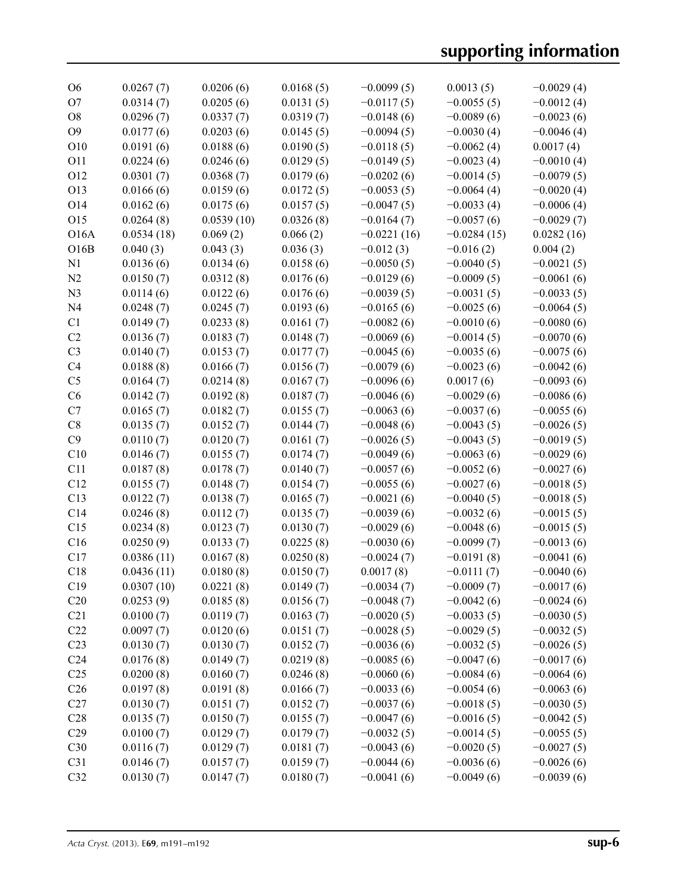| O <sub>6</sub>    | 0.0267(7)  | 0.0206(6)  | 0.0168(5) | $-0.0099(5)$  | 0.0013(5)     | $-0.0029(4)$ |
|-------------------|------------|------------|-----------|---------------|---------------|--------------|
| O <sub>7</sub>    | 0.0314(7)  | 0.0205(6)  | 0.0131(5) | $-0.0117(5)$  | $-0.0055(5)$  | $-0.0012(4)$ |
| O <sub>8</sub>    | 0.0296(7)  | 0.0337(7)  | 0.0319(7) | $-0.0148(6)$  | $-0.0089(6)$  | $-0.0023(6)$ |
| O <sub>9</sub>    | 0.0177(6)  | 0.0203(6)  | 0.0145(5) | $-0.0094(5)$  | $-0.0030(4)$  | $-0.0046(4)$ |
| O10               | 0.0191(6)  | 0.0188(6)  | 0.0190(5) | $-0.0118(5)$  | $-0.0062(4)$  | 0.0017(4)    |
| 011               | 0.0224(6)  | 0.0246(6)  | 0.0129(5) | $-0.0149(5)$  | $-0.0023(4)$  | $-0.0010(4)$ |
| 012               | 0.0301(7)  | 0.0368(7)  | 0.0179(6) | $-0.0202(6)$  | $-0.0014(5)$  | $-0.0079(5)$ |
| O13               | 0.0166(6)  | 0.0159(6)  | 0.0172(5) | $-0.0053(5)$  | $-0.0064(4)$  | $-0.0020(4)$ |
| O14               | 0.0162(6)  | 0.0175(6)  | 0.0157(5) | $-0.0047(5)$  | $-0.0033(4)$  | $-0.0006(4)$ |
| O15               | 0.0264(8)  | 0.0539(10) | 0.0326(8) | $-0.0164(7)$  | $-0.0057(6)$  | $-0.0029(7)$ |
| O <sub>16</sub> A | 0.0534(18) | 0.069(2)   | 0.066(2)  | $-0.0221(16)$ | $-0.0284(15)$ | 0.0282(16)   |
| O16B              | 0.040(3)   | 0.043(3)   | 0.036(3)  | $-0.012(3)$   | $-0.016(2)$   | 0.004(2)     |
| N1                | 0.0136(6)  | 0.0134(6)  | 0.0158(6) | $-0.0050(5)$  | $-0.0040(5)$  | $-0.0021(5)$ |
| N <sub>2</sub>    | 0.0150(7)  | 0.0312(8)  | 0.0176(6) | $-0.0129(6)$  | $-0.0009(5)$  | $-0.0061(6)$ |
| N <sub>3</sub>    | 0.0114(6)  | 0.0122(6)  | 0.0176(6) | $-0.0039(5)$  | $-0.0031(5)$  | $-0.0033(5)$ |
| N <sub>4</sub>    | 0.0248(7)  | 0.0245(7)  | 0.0193(6) | $-0.0165(6)$  | $-0.0025(6)$  | $-0.0064(5)$ |
| C <sub>1</sub>    | 0.0149(7)  | 0.0233(8)  | 0.0161(7) | $-0.0082(6)$  | $-0.0010(6)$  | $-0.0080(6)$ |
| C <sub>2</sub>    | 0.0136(7)  | 0.0183(7)  | 0.0148(7) | $-0.0069(6)$  | $-0.0014(5)$  | $-0.0070(6)$ |
| C <sub>3</sub>    | 0.0140(7)  | 0.0153(7)  | 0.0177(7) | $-0.0045(6)$  | $-0.0035(6)$  | $-0.0075(6)$ |
| C <sub>4</sub>    | 0.0188(8)  | 0.0166(7)  | 0.0156(7) | $-0.0079(6)$  | $-0.0023(6)$  | $-0.0042(6)$ |
| C <sub>5</sub>    | 0.0164(7)  | 0.0214(8)  | 0.0167(7) | $-0.0096(6)$  | 0.0017(6)     |              |
| C6                | 0.0142(7)  |            |           |               |               | $-0.0093(6)$ |
| C7                |            | 0.0192(8)  | 0.0187(7) | $-0.0046(6)$  | $-0.0029(6)$  | $-0.0086(6)$ |
|                   | 0.0165(7)  | 0.0182(7)  | 0.0155(7) | $-0.0063(6)$  | $-0.0037(6)$  | $-0.0055(6)$ |
| C8                | 0.0135(7)  | 0.0152(7)  | 0.0144(7) | $-0.0048(6)$  | $-0.0043(5)$  | $-0.0026(5)$ |
| C9                | 0.0110(7)  | 0.0120(7)  | 0.0161(7) | $-0.0026(5)$  | $-0.0043(5)$  | $-0.0019(5)$ |
| C10               | 0.0146(7)  | 0.0155(7)  | 0.0174(7) | $-0.0049(6)$  | $-0.0063(6)$  | $-0.0029(6)$ |
| C11               | 0.0187(8)  | 0.0178(7)  | 0.0140(7) | $-0.0057(6)$  | $-0.0052(6)$  | $-0.0027(6)$ |
| C12               | 0.0155(7)  | 0.0148(7)  | 0.0154(7) | $-0.0055(6)$  | $-0.0027(6)$  | $-0.0018(5)$ |
| C13               | 0.0122(7)  | 0.0138(7)  | 0.0165(7) | $-0.0021(6)$  | $-0.0040(5)$  | $-0.0018(5)$ |
| C14               | 0.0246(8)  | 0.0112(7)  | 0.0135(7) | $-0.0039(6)$  | $-0.0032(6)$  | $-0.0015(5)$ |
| C15               | 0.0234(8)  | 0.0123(7)  | 0.0130(7) | $-0.0029(6)$  | $-0.0048(6)$  | $-0.0015(5)$ |
| C16               | 0.0250(9)  | 0.0133(7)  | 0.0225(8) | $-0.0030(6)$  | $-0.0099(7)$  | $-0.0013(6)$ |
| C17               | 0.0386(11) | 0.0167(8)  | 0.0250(8) | $-0.0024(7)$  | $-0.0191(8)$  | $-0.0041(6)$ |
| C18               | 0.0436(11) | 0.0180(8)  | 0.0150(7) | 0.0017(8)     | $-0.0111(7)$  | $-0.0040(6)$ |
| C <sub>19</sub>   | 0.0307(10) | 0.0221(8)  | 0.0149(7) | $-0.0034(7)$  | $-0.0009(7)$  | $-0.0017(6)$ |
| C20               | 0.0253(9)  | 0.0185(8)  | 0.0156(7) | $-0.0048(7)$  | $-0.0042(6)$  | $-0.0024(6)$ |
| C21               | 0.0100(7)  | 0.0119(7)  | 0.0163(7) | $-0.0020(5)$  | $-0.0033(5)$  | $-0.0030(5)$ |
| C22               | 0.0097(7)  | 0.0120(6)  | 0.0151(7) | $-0.0028(5)$  | $-0.0029(5)$  | $-0.0032(5)$ |
| C <sub>23</sub>   | 0.0130(7)  | 0.0130(7)  | 0.0152(7) | $-0.0036(6)$  | $-0.0032(5)$  | $-0.0026(5)$ |
| C <sub>24</sub>   | 0.0176(8)  | 0.0149(7)  | 0.0219(8) | $-0.0085(6)$  | $-0.0047(6)$  | $-0.0017(6)$ |
| C <sub>25</sub>   | 0.0200(8)  | 0.0160(7)  | 0.0246(8) | $-0.0060(6)$  | $-0.0084(6)$  | $-0.0064(6)$ |
| C <sub>26</sub>   | 0.0197(8)  | 0.0191(8)  | 0.0166(7) | $-0.0033(6)$  | $-0.0054(6)$  | $-0.0063(6)$ |
| C27               | 0.0130(7)  | 0.0151(7)  | 0.0152(7) | $-0.0037(6)$  | $-0.0018(5)$  | $-0.0030(5)$ |
| C28               | 0.0135(7)  | 0.0150(7)  | 0.0155(7) | $-0.0047(6)$  | $-0.0016(5)$  | $-0.0042(5)$ |
| C29               | 0.0100(7)  | 0.0129(7)  | 0.0179(7) | $-0.0032(5)$  | $-0.0014(5)$  | $-0.0055(5)$ |
| C30               | 0.0116(7)  | 0.0129(7)  | 0.0181(7) | $-0.0043(6)$  | $-0.0020(5)$  | $-0.0027(5)$ |
| C <sub>31</sub>   | 0.0146(7)  | 0.0157(7)  | 0.0159(7) | $-0.0044(6)$  | $-0.0036(6)$  | $-0.0026(6)$ |
| C32               | 0.0130(7)  | 0.0147(7)  | 0.0180(7) | $-0.0041(6)$  | $-0.0049(6)$  | $-0.0039(6)$ |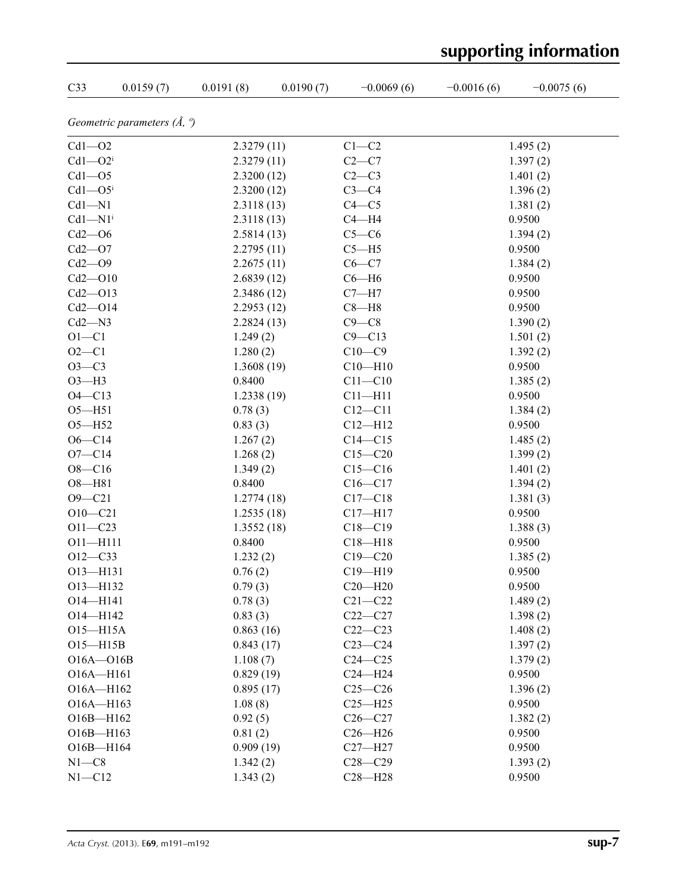| C33                                  | 0.0159(7) | 0.0191(8)  | 0.0190(7) | $-0.0069(6)$ | $-0.0016(6)$ | $-0.0075(6)$ |  |
|--------------------------------------|-----------|------------|-----------|--------------|--------------|--------------|--|
| Geometric parameters $(\AA, \theta)$ |           |            |           |              |              |              |  |
| $Cd1 - O2$                           |           | 2.3279(11) |           | $C1-C2$      |              | 1.495(2)     |  |
| $Cd1 - O2i$                          |           | 2.3279(11) |           | $C2-C7$      |              | 1.397(2)     |  |
| $Cd1 - O5$                           |           | 2.3200(12) |           | $C2-C3$      |              | 1.401(2)     |  |
| $Cd1 - O5$                           |           | 2.3200(12) |           | $C3-C4$      |              | 1.396(2)     |  |
| $Cd1 - N1$                           |           | 2.3118(13) |           | $C4 - C5$    |              | 1.381(2)     |  |
| $Cd1 - N1$ <sup>i</sup>              |           | 2.3118(13) |           | $C4 - H4$    |              | 0.9500       |  |
| $Cd2 - O6$                           |           | 2.5814(13) |           | $C5-C6$      |              | 1.394(2)     |  |
| $Cd2 - O7$                           |           | 2.2795(11) |           | $C5 - H5$    |              | 0.9500       |  |
| $Cd2 - O9$                           |           | 2.2675(11) |           | $C6 - C7$    |              | 1.384(2)     |  |
| $Cd2 - O10$                          |           | 2.6839(12) |           | $C6 - H6$    |              | 0.9500       |  |
| $Cd2 - O13$                          |           | 2.3486(12) |           | $C7 - H7$    |              | 0.9500       |  |
| $Cd2 - O14$                          |           | 2.2953(12) |           | $C8 - H8$    |              | 0.9500       |  |
| $Cd2 - N3$                           |           | 2.2824(13) |           | $C9 - C8$    |              | 1.390(2)     |  |
| $O1 - C1$                            |           | 1.249(2)   |           | $C9 - C13$   |              | 1.501(2)     |  |
| $O2 - C1$                            |           | 1.280(2)   |           | $C10-C9$     |              | 1.392(2)     |  |
| $O3 - C3$                            |           | 1.3608(19) |           | $C10 - H10$  |              | 0.9500       |  |
| $O3-H3$                              |           | 0.8400     |           | $C11 - C10$  |              | 1.385(2)     |  |
| $O4 - C13$                           |           | 1.2338(19) |           | $C11 - H11$  |              | 0.9500       |  |
| $O5 - H51$                           |           | 0.78(3)    |           | $C12 - C11$  |              | 1.384(2)     |  |
| $O5 - H52$                           |           | 0.83(3)    |           | $C12 - H12$  |              | 0.9500       |  |
| $O6 - C14$                           |           | 1.267(2)   |           | $C14 - C15$  |              | 1.485(2)     |  |
| $O7 - C14$                           |           | 1.268(2)   |           | $C15 - C20$  |              | 1.399(2)     |  |
| $O8 - C16$                           |           | 1.349(2)   |           | $C15-C16$    |              | 1.401(2)     |  |
| $O8 - H81$                           |           | 0.8400     |           | $C16 - C17$  |              | 1.394(2)     |  |
| $O9 - C21$                           |           | 1.2774(18) |           | $C17 - C18$  |              | 1.381(3)     |  |
| $O10 - C21$                          |           | 1.2535(18) |           | $C17 - H17$  |              | 0.9500       |  |
| $O11 - C23$                          |           | 1.3552(18) |           | $C18 - C19$  |              | 1.388(3)     |  |
| $O11 - H111$                         |           | 0.8400     |           | $C18 - H18$  |              | 0.9500       |  |
| $O12 - C33$                          |           | 1.232(2)   |           | $C19 - C20$  |              | 1.385(2)     |  |
| O13-H131                             |           | 0.76(2)    |           | $C19 - H19$  |              | 0.9500       |  |
| O13-H132                             |           | 0.79(3)    |           | $C20 - H20$  |              | 0.9500       |  |
| $O14 - H141$                         |           | 0.78(3)    |           | $C21 - C22$  |              | 1.489(2)     |  |
| O14-H142                             |           | 0.83(3)    |           | $C22-C27$    |              | 1.398(2)     |  |
| O15-H15A                             |           | 0.863(16)  |           | $C22-C23$    |              | 1.408(2)     |  |
| O15-H15B                             |           | 0.843(17)  |           | $C23-C24$    |              | 1.397(2)     |  |
| $O16A - O16B$                        |           | 1.108(7)   |           | $C24 - C25$  |              | 1.379(2)     |  |
| $O16A - H161$                        |           | 0.829(19)  |           | $C24 - H24$  |              | 0.9500       |  |
| O16A-H162                            |           | 0.895(17)  |           | $C25-C26$    |              | 1.396(2)     |  |
| O16A-H163                            |           | 1.08(8)    |           | $C25 - H25$  |              | 0.9500       |  |
| O16B-H162                            |           | 0.92(5)    |           | $C26-C27$    |              | 1.382(2)     |  |
| O16B-H163                            |           | 0.81(2)    |           | $C26 - H26$  |              | 0.9500       |  |
| O16B-H164                            |           | 0.909(19)  |           | $C27 - H27$  |              | 0.9500       |  |
| $N1 - C8$                            |           | 1.342(2)   |           | $C28 - C29$  |              | 1.393(2)     |  |
| $N1 - C12$                           |           | 1.343(2)   |           | $C28 - H28$  |              | 0.9500       |  |

# **supporting information**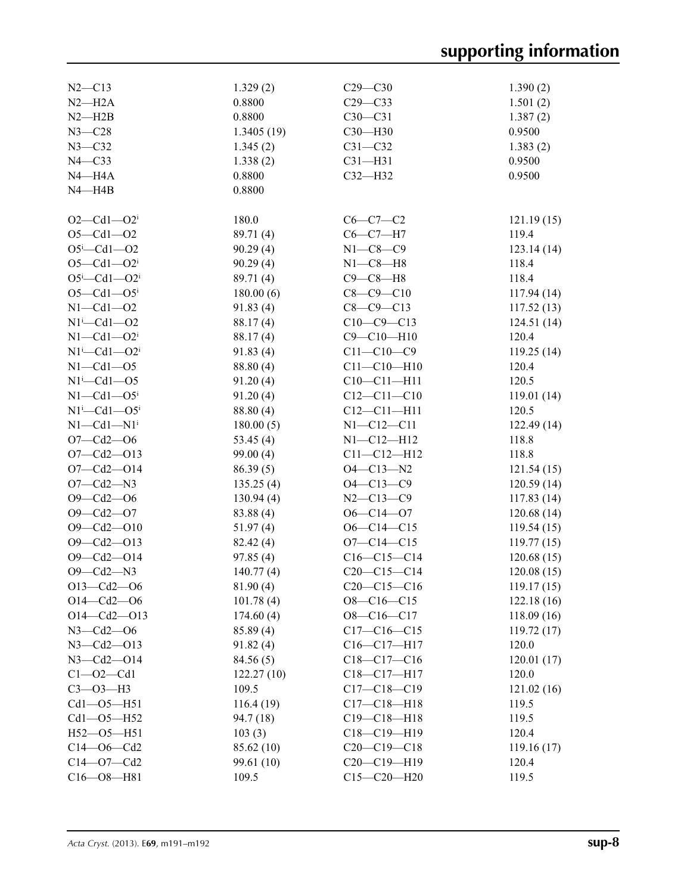| $N2 - C13$                   | 1.329(2)    | $C29 - C30$       | 1.390(2)                 |
|------------------------------|-------------|-------------------|--------------------------|
| $N2 - H2A$                   | 0.8800      | $C29 - C33$       | 1.501(2)                 |
| $N2 - H2B$                   | 0.8800      | $C30 - C31$       | 1.387(2)                 |
| $N3 - C28$                   | 1.3405(19)  | $C30 - H30$       | 0.9500                   |
| $N3 - C32$                   | 1.345(2)    | $C31 - C32$       | 1.383(2)                 |
| $N4 - C33$                   | 1.338(2)    | $C31 - H31$       | 0.9500                   |
| $N4 - H4A$                   | 0.8800      | $C32 - H32$       | 0.9500                   |
| $N4 - H4B$                   | 0.8800      |                   |                          |
|                              |             |                   |                          |
| $O2 - Cd1 - O2i$             | 180.0       | $C6-C7-C2$        | 121.19(15)               |
| $O5 - Cl1 - O2$              | 89.71 (4)   | $C6-C7-H7$        | 119.4                    |
| $O5 - Cd1 - O2$              | 90.29(4)    | $N1 - C8 - C9$    | 123.14(14)               |
| $O5 - Cd1 - O2i$             | 90.29(4)    | $N1 - C8 - H8$    | 118.4                    |
| $O5^i$ -Cd1- $O2^i$          | 89.71 (4)   | $C9 - C8 - H8$    | 118.4                    |
| $O5 - Cd1 - O5$ <sup>i</sup> | 180.00(6)   | $C8 - C9 - C10$   | 117.94(14)               |
| $N1 - Cd1 - O2$              | 91.83(4)    | $C8 - C9 - C13$   | 117.52(13)               |
| $N1^i$ -Cd1 - O2             | 88.17(4)    | $C10-C9-C13$      | 124.51(14)               |
| $N1 - Cd1 - O2i$             | 88.17(4)    | $C9 - C10 - H10$  | 120.4                    |
| $N1^i$ -Cd1--O2 <sup>i</sup> | 91.83(4)    | $C11 - C10 - C9$  | 119.25(14)               |
| $N1 - Cd1 - O5$              | 88.80 (4)   | $C11 - C10 - H10$ | 120.4                    |
| $N1$ <sup>i</sup> -Cd1--O5   | 91.20(4)    | $C10 - C11 - H11$ | 120.5                    |
| $N1 - Cd1 - O5$              | 91.20(4)    | $C12 - C11 - C10$ | 119.01(14)               |
| $N1^i$ -Cd1--O5 <sup>i</sup> | 88.80 (4)   | $C12 - C11 - H11$ | 120.5                    |
| $N1 - Cd1 - N1$ <sup>i</sup> | 180.00(5)   | $N1 - C12 - C11$  | 122.49(14)               |
| $O7 - Cd2 - O6$              | 53.45 $(4)$ | $N1 - C12 - H12$  | 118.8                    |
| $O7 - Cd2 - O13$             | 99.00(4)    | $C11 - C12 - H12$ | 118.8                    |
| $O7 - Cd2 - O14$             | 86.39(5)    | $O4 - C13 - N2$   | 121.54(15)               |
| $O7 - Cd2 - N3$              | 135.25(4)   | $O4 - C13 - C9$   |                          |
| $O9 - Cd2 - O6$              | 130.94(4)   | $N2 - C13 - C9$   | 120.59(14)<br>117.83(14) |
| $O9 - Cd2 - O7$              | 83.88 (4)   | $O6 - C14 - O7$   | 120.68(14)               |
| $O9 - Cd2 - O10$             |             | $O6 - C14 - C15$  |                          |
| $O9 - Cd2 - O13$             | 51.97(4)    | $O7 - C14 - C15$  | 119.54(15)<br>119.77(15) |
| $O9 - Cd2 - O14$             | 82.42(4)    | $C16-C15-C14$     | 120.68(15)               |
| $O9 - Cd2 - N3$              | 97.85(4)    | $C20-C15-C14$     |                          |
|                              | 140.77(4)   |                   | 120.08(15)               |
| $O13 - Cd2 - O6$             | 81.90 (4)   | $C20-C15-C16$     | 119.17(15)               |
| $O14 - Cd2 - O6$             | 101.78(4)   | $O8 - C16 - C15$  | 122.18(16)               |
| $O14 - Cd2 - O13$            | 174.60(4)   | $O8 - C16 - C17$  | 118.09(16)               |
| $N3 - Cd2 - 06$              | 85.89 (4)   | $C17 - C16 - C15$ | 119.72(17)               |
| $N3 - Cd2 - O13$             | 91.82(4)    | $C16 - C17 - H17$ | 120.0                    |
| $N3 - Cd2 - O14$             | 84.56 (5)   | $C18 - C17 - C16$ | 120.01(17)               |
| $C1 - 02 - Cd1$              | 122.27(10)  | $C18 - C17 - H17$ | 120.0                    |
| $C3 - O3 - H3$               | 109.5       | $C17 - C18 - C19$ | 121.02(16)               |
| $Cd1 - O5 - H51$             | 116.4(19)   | $C17 - C18 - H18$ | 119.5                    |
| Cd1-05-H52                   | 94.7 (18)   | $C19 - C18 - H18$ | 119.5                    |
| $H52 - 05 - H51$             | 103(3)      | C18-C19-H19       | 120.4                    |
| $C14 - 06 - Cd2$             | 85.62 (10)  | $C20-C19-C18$     | 119.16(17)               |
| $C14 - O7 - Cd2$             | 99.61 (10)  | $C20-C19-H19$     | 120.4                    |
| $C16 - 08 - H81$             | 109.5       | $C15 - C20 - H20$ | 119.5                    |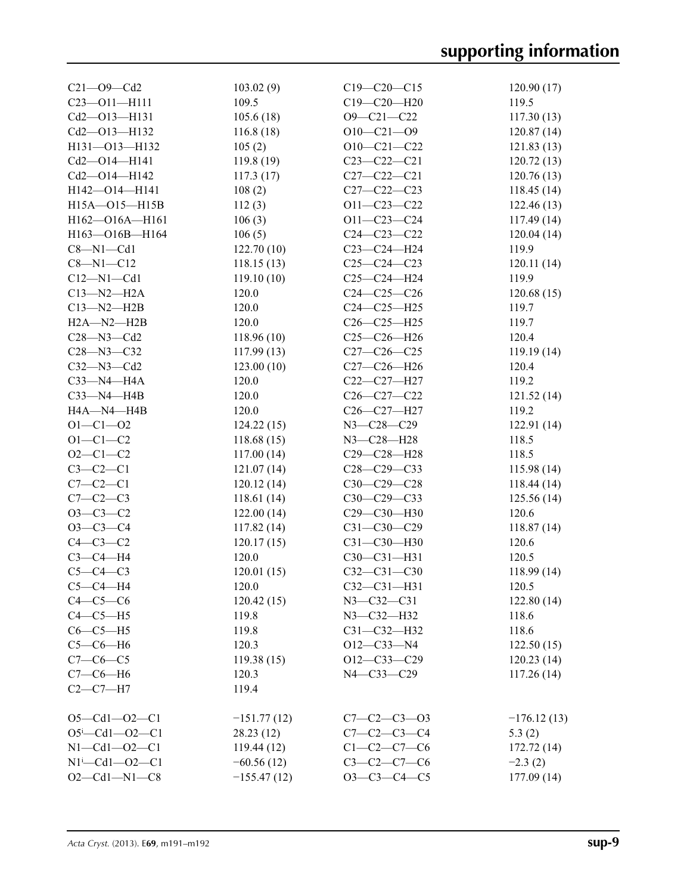| $C21 - O9 - Cd2$           | 103.02(9)     | $C19 - C20 - C15$   | 120.90(17)    |
|----------------------------|---------------|---------------------|---------------|
| $C23 - 011 - H111$         | 109.5         | C19-C20-H20         | 119.5         |
| Cd2-013-H131               | 105.6(18)     | O9-C21-C22          | 117.30(13)    |
| Cd2-013-H132               | 116.8(18)     | $O10-C21-O9$        | 120.87(14)    |
| H131-013-H132              | 105(2)        | $O10-C21-C22$       | 121.83(13)    |
| Cd2-O14-H141               | 119.8 (19)    | $C23 - C22 - C21$   | 120.72(13)    |
| Cd2-014-H142               | 117.3(17)     | $C27 - C22 - C21$   | 120.76(13)    |
| H142-014-H141              | 108(2)        | $C27 - C22 - C23$   | 118.45(14)    |
| H15A-015-H15B              | 112(3)        | $O11 - C23 - C22$   | 122.46(13)    |
| H162-O16A-H161             | 106(3)        | $O11 - C23 - C24$   | 117.49(14)    |
| H163-O16B-H164             | 106(5)        | $C24 - C23 - C22$   | 120.04(14)    |
| $C8 - N1 - Cd1$            | 122.70(10)    | $C23-C24-H24$       | 119.9         |
| $C8 - N1 - C12$            | 118.15(13)    | $C25-C24-C23$       | 120.11(14)    |
| $C12 - N1 - Cd1$           | 119.10(10)    | $C25-C24-H24$       | 119.9         |
| $C13 - N2 - H2A$           | 120.0         | $C24-C25-C26$       | 120.68(15)    |
| $C13 - N2 - H2B$           | 120.0         | C24-C25-H25         | 119.7         |
| $H2A - N2 - H2B$           | 120.0         | $C26 - C25 - H25$   | 119.7         |
| $C28 - N3 - Cd2$           | 118.96(10)    | $C25-C26-H26$       | 120.4         |
| $C28 - N3 - C32$           | 117.99(13)    | $C27-C26-C25$       | 119.19(14)    |
| $C32 - N3 - Cd2$           | 123.00(10)    | $C27 - C26 - H26$   | 120.4         |
| $C33$ -N4-H4A              | 120.0         | C22-C27-H27         | 119.2         |
|                            |               |                     |               |
| $C33 - N4 - H4B$           | 120.0         | $C26 - C27 - C22$   | 121.52(14)    |
| H4A-N4-H4B                 | 120.0         | C26-C27-H27         | 119.2         |
| $O1 - C1 - O2$             | 124.22(15)    | N3-C28-C29          | 122.91(14)    |
| $O1 - C1 - C2$             | 118.68(15)    | N3-C28-H28          | 118.5         |
| $O2 - C1 - C2$             | 117.00(14)    | C29-C28-H28         | 118.5         |
| $C3-C2-C1$                 | 121.07(14)    | $C28 - C29 - C33$   | 115.98(14)    |
| $C7-C2-C1$                 | 120.12(14)    | C30-C29-C28         | 118.44(14)    |
| $C7-C2-C3$                 | 118.61 (14)   | C30-C29-C33         | 125.56(14)    |
| $O3-C3-C2$                 | 122.00(14)    | C29-C30-H30         | 120.6         |
| $O3-C3-C4$                 | 117.82(14)    | $C31 - C30 - C29$   | 118.87 (14)   |
| $C4-C3-C2$                 | 120.17(15)    | $C31 - C30 - H30$   | 120.6         |
| $C3-C4-H4$                 | 120.0         | C30-C31-H31         | 120.5         |
| $C5-C4-C3$                 | 120.01(15)    | $C32 - C31 - C30$   | 118.99(14)    |
| $C5-C4-H4$                 | 120.0         | $C32 - C31 - H31$   | 120.5         |
| $C4-C5-C6$                 | 120.42(15)    | $N3 - C32 - C31$    | 122.80(14)    |
| $C4-C5-H5$                 | 119.8         | N3-C32-H32          | 118.6         |
| $C6-C5-H5$                 | 119.8         | C31-C32-H32         | 118.6         |
| $C5-C6-H6$                 | 120.3         | $O12-C33-N4$        | 122.50(15)    |
| $C7-C6-C5$                 | 119.38(15)    | $O12 - C33 - C29$   | 120.23(14)    |
| $C7-C6-H6$                 | 120.3         | N4-C33-C29          | 117.26(14)    |
| $C2-C7-H7$                 | 119.4         |                     |               |
| $O5 - Cd1 - O2 - C1$       | $-151.77(12)$ | $C7 - C2 - C3 - 03$ | $-176.12(13)$ |
| $O5^i$ -Cd1- $O2$ -C1      | 28.23 (12)    | $C7 - C2 - C3 - C4$ | 5.3(2)        |
| $N1 - Cd1 - O2 - C1$       | 119.44(12)    | $C1 - C2 - C7 - C6$ | 172.72(14)    |
| $N1^{i}$ - Cd1 - - O2 - C1 | $-60.56(12)$  | $C3-C2-C7-C6$       | $-2.3(2)$     |
| $O2 - Cd1 - N1 - C8$       |               | $O3-C3-C4-C5$       |               |
|                            | $-155.47(12)$ |                     | 177.09 (14)   |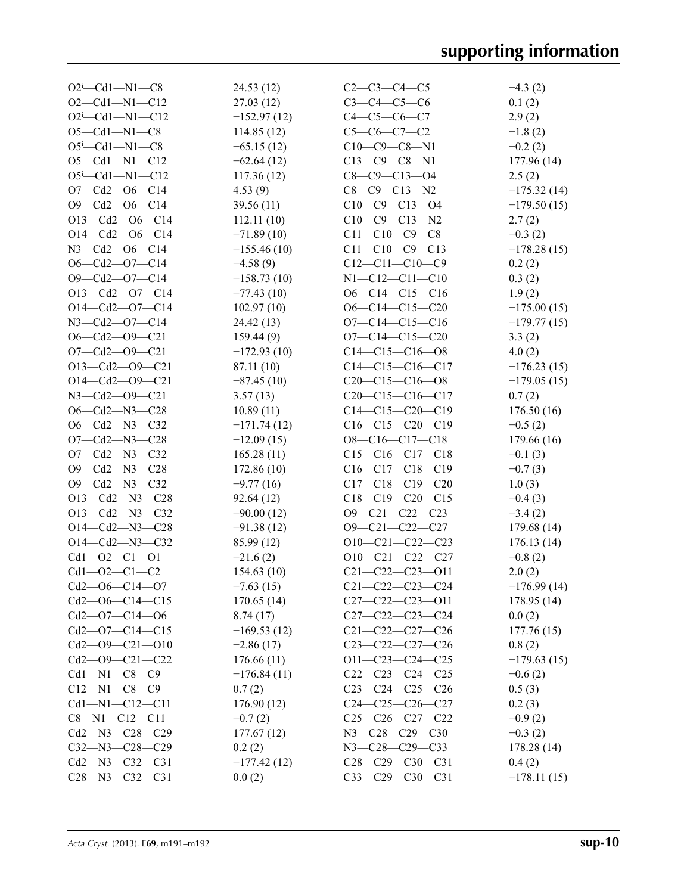| $O2^i$ -Cd1-N1-C8            | 24.53(12)     | $C2-C3-C4-C5$                                                      | $-4.3(2)$     |
|------------------------------|---------------|--------------------------------------------------------------------|---------------|
| $O2 - Cd1 - N1 - C12$        | 27.03(12)     | $C3 - C4 - C5 - C6$                                                | 0.1(2)        |
| $O2^i$ -Cd1-N1-C12           | $-152.97(12)$ | $C4 - C5 - C6 - C7$                                                | 2.9(2)        |
| $O5 - Cd1 - N1 - C8$         | 114.85(12)    | $C5-C6-C7-C2$                                                      | $-1.8(2)$     |
| $O5^{\text{i}}$ -Cd1-N1-C8   | $-65.15(12)$  | $C10-C9-C8-N1$                                                     | $-0.2(2)$     |
| $O5 - Cd1 - N1 - C12$        | $-62.64(12)$  | $C13-C9-C8-N1$                                                     | 177.96 (14)   |
| $O5^{\text{i}}$ -Cd1-N1-C12  | 117.36(12)    | $C8-C9-C13-04$                                                     | 2.5(2)        |
| $O7 - Cd2 - O6 - C14$        | 4.53(9)       | $C8 - C9 - C13 - N2$                                               | $-175.32(14)$ |
| $O9 - Cd2 - O6 - C14$        | 39.56(11)     | $C10-C9-C13-04$                                                    | $-179.50(15)$ |
| $O13-Cd2-O6-C14$             | 112.11(10)    | $C10-C9-C13-N2$                                                    | 2.7(2)        |
| O14-Cd2-O6-C14               | $-71.89(10)$  | $C11-C10-C9-C8$                                                    | $-0.3(2)$     |
| N3-Cd2-O6-C14                | $-155.46(10)$ | $C11-C10-C9-C13$                                                   | $-178.28(15)$ |
| $O6 - Cd2 - O7 - C14$        | $-4.58(9)$    | $C12-C11-C10-C9$                                                   | 0.2(2)        |
| $O9 - Cd2 - O7 - C14$        |               | $N1 - C12 - C11 - C10$                                             |               |
|                              | $-158.73(10)$ |                                                                    | 0.3(2)        |
| $O13-Cd2-O7-C14$             | $-77.43(10)$  | $O6-C14-C15-C16$                                                   | 1.9(2)        |
| $O14 - Cd2 - O7 - C14$       | 102.97(10)    | $O6-C14-C15-C20$                                                   | $-175.00(15)$ |
| N3-Cd2-O7-C14                | 24.42(13)     | $O7 - C14 - C15 - C16$                                             | $-179.77(15)$ |
| $O6 - Cd2 - O9 - C21$        | 159.44(9)     | $O7 - C14 - C15 - C20$                                             | 3.3(2)        |
| $O7 - Cd2 - O9 - C21$        | $-172.93(10)$ | $C14-C15-C16-08$                                                   | 4.0(2)        |
| $O13-Cd2-O9-C21$             | 87.11 (10)    | $C14-C15-C16-C17$                                                  | $-176.23(15)$ |
| $O14 - Cd2 - O9 - C21$       | $-87.45(10)$  | $C20-C15-C16-08$                                                   | $-179.05(15)$ |
| $N3 - Cd2 - O9 - C21$        | 3.57(13)      | $C20-C15-C16-C17$                                                  | 0.7(2)        |
| O6-Cd2-N3-C28                | 10.89(11)     | $C14-C15-C20-C19$                                                  | 176.50(16)    |
| O6-Cd2-N3-C32                | $-171.74(12)$ | $C16-C15-C20-C19$                                                  | $-0.5(2)$     |
| $O7 - Cd2 - N3 - C28$        | $-12.09(15)$  | $O8-C16-C17-C18$                                                   | 179.66 (16)   |
| $O7 - Cd2 - N3 - C32$        | 165.28(11)    | $C15-C16-C17-C18$                                                  | $-0.1(3)$     |
| O9-Cd2-N3-C28                | 172.86(10)    | $C16-C17-C18-C19$                                                  | $-0.7(3)$     |
| O9-Cd2-N3-C32                | $-9.77(16)$   | $C17-C18-C19-C20$                                                  | 1.0(3)        |
| O13-Cd2-N3-C28               | 92.64(12)     | $C18-C19-C20-C15$                                                  | $-0.4(3)$     |
| $O13 - Cd2 - N3 - C32$       | $-90.00(12)$  | $O9 - C21 - C22 - C23$                                             | $-3.4(2)$     |
| $O14 - Cd2 - N3 - C28$       | $-91.38(12)$  | $O9 - C21 - C22 - C27$                                             | 179.68(14)    |
| $O14 - Cd2 - N3 - C32$       | 85.99 (12)    | $O10-C21-C22-C23$                                                  | 176.13(14)    |
| $Cd1 - O2 - Cl - O1$         | $-21.6(2)$    | $O10-C21-C22-C27$                                                  | $-0.8(2)$     |
| $Cd1 - O2 - C1 - C2$         | 154.63(10)    | $C21 - C22 - C23 - 011$                                            | 2.0(2)        |
| $Cd2 - O6 - C14 - O7$        | $-7.63(15)$   | $C21 - C22 - C23 - C24$                                            | $-176.99(14)$ |
| $Cd2$ - $O6$ - $C14$ - $C15$ | 170.65(14)    | $C27-C22-C23-011$                                                  | 178.95(14)    |
| $Cd2 - O7 - C14 - O6$        | 8.74(17)      | $C27-C22-C23-C24$                                                  | 0.0(2)        |
| $Cd2 - O7 - C14 - C15$       | $-169.53(12)$ | $C21-C22-C27-C26$                                                  | 177.76(15)    |
| $Cd2 - O9 - C21 - O10$       | $-2.86(17)$   | $C23-C22-C27-C26$                                                  | 0.8(2)        |
| Cd2-09-C21-C22               | 176.66(11)    | $O11 - C23 - C24 - C25$                                            | $-179.63(15)$ |
| $Cd1 - N1 - C8 - C9$         | $-176.84(11)$ | $C22-C23-C24-C25$                                                  | $-0.6(2)$     |
| $C12 - N1 - C8 - C9$         | 0.7(2)        | $C23-C24-C25-C26$                                                  | 0.5(3)        |
|                              |               |                                                                    |               |
| $Cd1 - N1 - C12 - C11$       | 176.90(12)    | $C24-C25-C26-C27$                                                  | 0.2(3)        |
| $C8 - N1 - C12 - C11$        | $-0.7(2)$     | $C25-C26-C27-C22$                                                  | $-0.9(2)$     |
| Cd2-N3-C28-C29               | 177.67(12)    | N3-C28-C29-C30                                                     | $-0.3(2)$     |
| $C32 - N3 - C28 - C29$       | 0.2(2)        | N3-C28-C29-C33                                                     | 178.28(14)    |
| $Cd2$ —N3—C32—C31            | $-177.42(12)$ | C <sub>28</sub> -C <sub>29</sub> -C <sub>30</sub> -C <sub>31</sub> | 0.4(2)        |
| $C28 - N3 - C32 - C31$       | 0.0(2)        | $C33-C29-C30-C31$                                                  | $-178.11(15)$ |